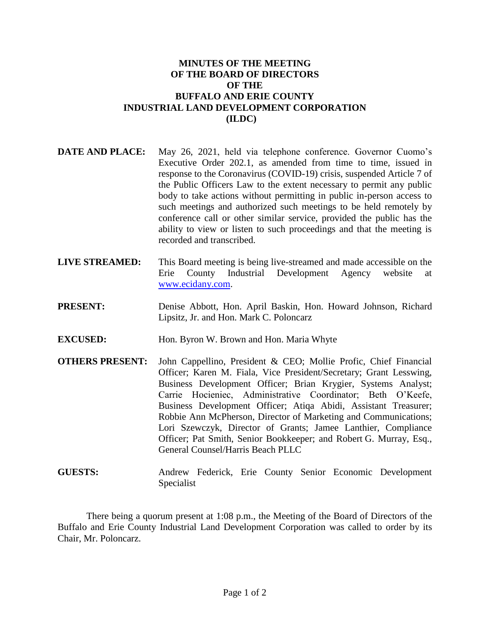## **MINUTES OF THE MEETING OF THE BOARD OF DIRECTORS OF THE BUFFALO AND ERIE COUNTY INDUSTRIAL LAND DEVELOPMENT CORPORATION (ILDC)**

- **DATE AND PLACE:** May 26, 2021, held via telephone conference. Governor Cuomo's Executive Order 202.1, as amended from time to time, issued in response to the Coronavirus (COVID-19) crisis, suspended Article 7 of the Public Officers Law to the extent necessary to permit any public body to take actions without permitting in public in-person access to such meetings and authorized such meetings to be held remotely by conference call or other similar service, provided the public has the ability to view or listen to such proceedings and that the meeting is recorded and transcribed.
- **LIVE STREAMED:** This Board meeting is being live-streamed and made accessible on the Erie County Industrial Development Agency website at [www.ecidany.com.](http://www.ecidany.com/)
- **PRESENT:** Denise Abbott, Hon. April Baskin, Hon. Howard Johnson, Richard Lipsitz, Jr. and Hon. Mark C. Poloncarz
- **EXCUSED:** Hon. Byron W. Brown and Hon. Maria Whyte
- **OTHERS PRESENT:** John Cappellino, President & CEO; Mollie Profic, Chief Financial Officer; Karen M. Fiala, Vice President/Secretary; Grant Lesswing, Business Development Officer; Brian Krygier, Systems Analyst; Carrie Hocieniec, Administrative Coordinator; Beth O'Keefe, Business Development Officer; Atiqa Abidi, Assistant Treasurer; Robbie Ann McPherson, Director of Marketing and Communications; Lori Szewczyk, Director of Grants; Jamee Lanthier, Compliance Officer; Pat Smith, Senior Bookkeeper; and Robert G. Murray, Esq., General Counsel/Harris Beach PLLC
- **GUESTS:** Andrew Federick, Erie County Senior Economic Development Specialist

There being a quorum present at 1:08 p.m., the Meeting of the Board of Directors of the Buffalo and Erie County Industrial Land Development Corporation was called to order by its Chair, Mr. Poloncarz.